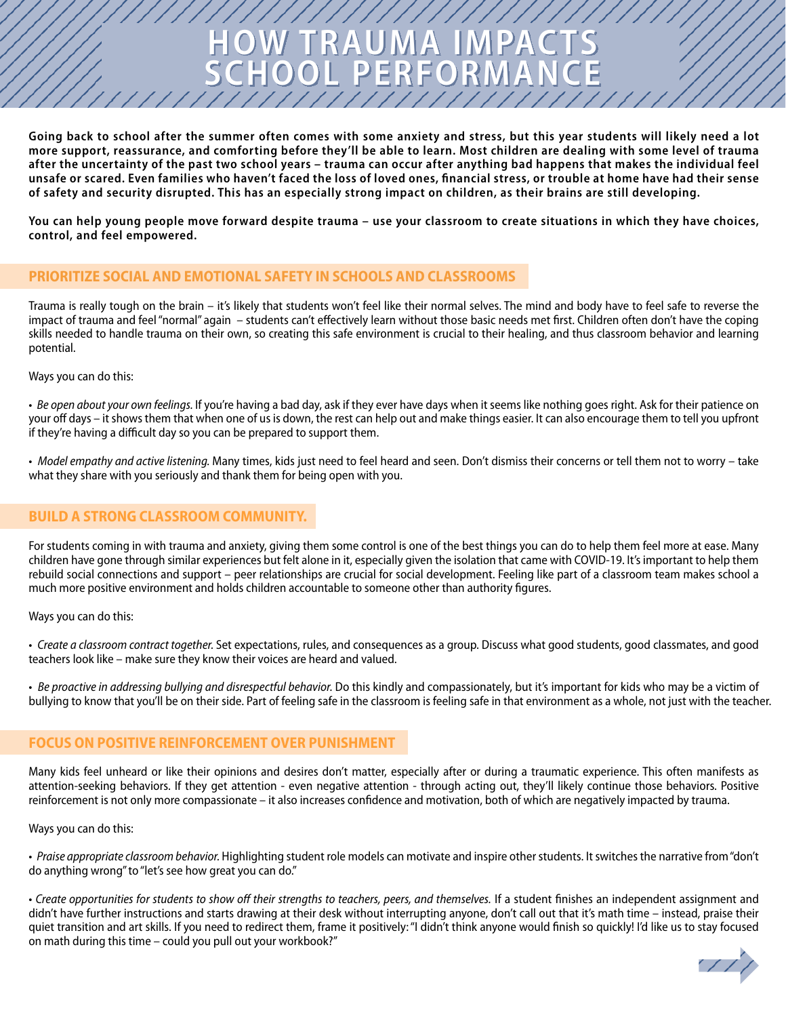**Going back to school after the summer often comes with some anxiety and stress, but this year students will likely need a lot more support, reassurance, and comforting before they'll be able to learn. Most children are dealing with some level of trauma after the uncertainty of the past two school years – trauma can occur after anything bad happens that makes the individual feel unsafe or scared. Even families who haven't faced the loss of loved ones, financial stress, or trouble at home have had their sense of safety and security disrupted. This has an especially strong impact on children, as their brains are still developing.** 

**HOW TRAUMA IMPACTS** 

**SCHOOL PERFORMANCE**

**You can help young people move forward despite trauma – use your classroom to create situations in which they have choices, control, and feel empowered.** 

## **PRIORITIZE SOCIAL AND EMOTIONAL SAFETY IN SCHOOLS AND CLASSROOMS**

Trauma is really tough on the brain – it's likely that students won't feel like their normal selves. The mind and body have to feel safe to reverse the impact of trauma and feel "normal" again – students can't effectively learn without those basic needs met first. Children often don't have the coping skills needed to handle trauma on their own, so creating this safe environment is crucial to their healing, and thus classroom behavior and learning potential.

#### Ways you can do this:

• Be open about your own feelings. If you're having a bad day, ask if they ever have days when it seems like nothing goes right. Ask for their patience on your off days – it shows them that when one of us is down, the rest can help out and make things easier. It can also encourage them to tell you upfront if they're having a difficult day so you can be prepared to support them.

• *Model empathy and active listening*. Many times, kids just need to feel heard and seen. Don't dismiss their concerns or tell them not to worry – take what they share with you seriously and thank them for being open with you.

#### **BUILD A STRONG CLASSROOM COMMUNITY.**

For students coming in with trauma and anxiety, giving them some control is one of the best things you can do to help them feel more at ease. Many children have gone through similar experiences but felt alone in it, especially given the isolation that came with COVID-19. It's important to help them rebuild social connections and support – peer relationships are crucial for social development. Feeling like part of a classroom team makes school a much more positive environment and holds children accountable to someone other than authority figures.

Ways you can do this:

• Create a classroom contract together. Set expectations, rules, and consequences as a group. Discuss what good students, good classmates, and good teachers look like – make sure they know their voices are heard and valued.

• Be proactive in addressing bullying and disrespectful behavior. Do this kindly and compassionately, but it's important for kids who may be a victim of bullying to know that you'll be on their side. Part of feeling safe in the classroom is feeling safe in that environment as a whole, not just with the teacher.

#### **FOCUS ON POSITIVE REINFORCEMENT OVER PUNISHMENT**

Many kids feel unheard or like their opinions and desires don't matter, especially after or during a traumatic experience. This often manifests as attention-seeking behaviors. If they get attention - even negative attention - through acting out, they'll likely continue those behaviors. Positive reinforcement is not only more compassionate – it also increases confidence and motivation, both of which are negatively impacted by trauma.

Ways you can do this:

• Praise appropriate classroom behavior. Highlighting student role models can motivate and inspire other students. It switches the narrative from "don't do anything wrong" to "let's see how great you can do."

• Create opportunities for students to show off their strengths to teachers, peers, and themselves. If a student finishes an independent assignment and didn't have further instructions and starts drawing at their desk without interrupting anyone, don't call out that it's math time – instead, praise their quiet transition and art skills. If you need to redirect them, frame it positively: "I didn't think anyone would finish so quickly! I'd like us to stay focused on math during this time – could you pull out your workbook?"